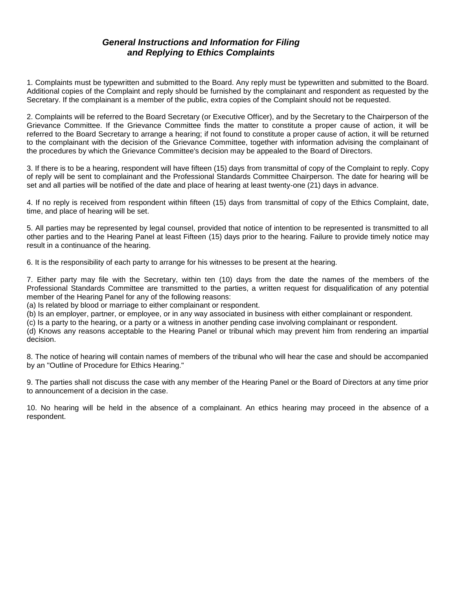## *General Instructions and Information for Filing and Replying to Ethics Complaints*

1. Complaints must be typewritten and submitted to the Board. Any reply must be typewritten and submitted to the Board. Additional copies of the Complaint and reply should be furnished by the complainant and respondent as requested by the Secretary. If the complainant is a member of the public, extra copies of the Complaint should not be requested.

2. Complaints will be referred to the Board Secretary (or Executive Officer), and by the Secretary to the Chairperson of the Grievance Committee. If the Grievance Committee finds the matter to constitute a proper cause of action, it will be referred to the Board Secretary to arrange a hearing; if not found to constitute a proper cause of action, it will be returned to the complainant with the decision of the Grievance Committee, together with information advising the complainant of the procedures by which the Grievance Committee's decision may be appealed to the Board of Directors.

3. If there is to be a hearing, respondent will have fifteen (15) days from transmittal of copy of the Complaint to reply. Copy of reply will be sent to complainant and the Professional Standards Committee Chairperson. The date for hearing will be set and all parties will be notified of the date and place of hearing at least twenty-one (21) days in advance.

4. If no reply is received from respondent within fifteen (15) days from transmittal of copy of the Ethics Complaint, date, time, and place of hearing will be set.

5. All parties may be represented by legal counsel, provided that notice of intention to be represented is transmitted to all other parties and to the Hearing Panel at least Fifteen (15) days prior to the hearing. Failure to provide timely notice may result in a continuance of the hearing.

6. It is the responsibility of each party to arrange for his witnesses to be present at the hearing.

7. Either party may file with the Secretary, within ten (10) days from the date the names of the members of the Professional Standards Committee are transmitted to the parties, a written request for disqualification of any potential member of the Hearing Panel for any of the following reasons:

(a) Is related by blood or marriage to either complainant or respondent.

(b) Is an employer, partner, or employee, or in any way associated in business with either complainant or respondent.

(c) Is a party to the hearing, or a party or a witness in another pending case involving complainant or respondent.

(d) Knows any reasons acceptable to the Hearing Panel or tribunal which may prevent him from rendering an impartial decision.

8. The notice of hearing will contain names of members of the tribunal who will hear the case and should be accompanied by an "Outline of Procedure for Ethics Hearing."

9. The parties shall not discuss the case with any member of the Hearing Panel or the Board of Directors at any time prior to announcement of a decision in the case.

10. No hearing will be held in the absence of a complainant. An ethics hearing may proceed in the absence of a respondent.